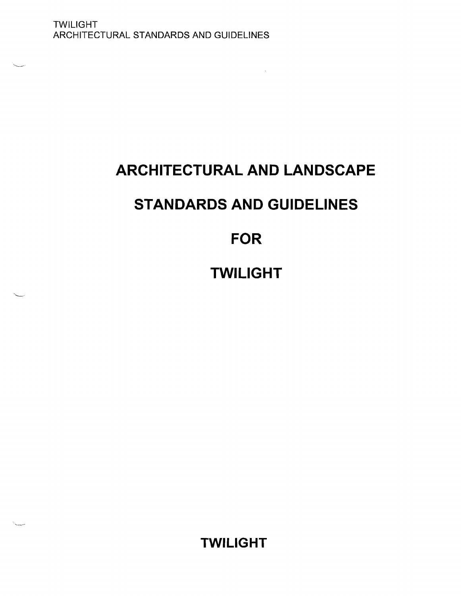# **ARCHITECTURAL AND LANDSCAPE**

# **STANDARDS AND GUIDELINES**

## **FOR**

# **TWILIGHT**

**TWILIGHT**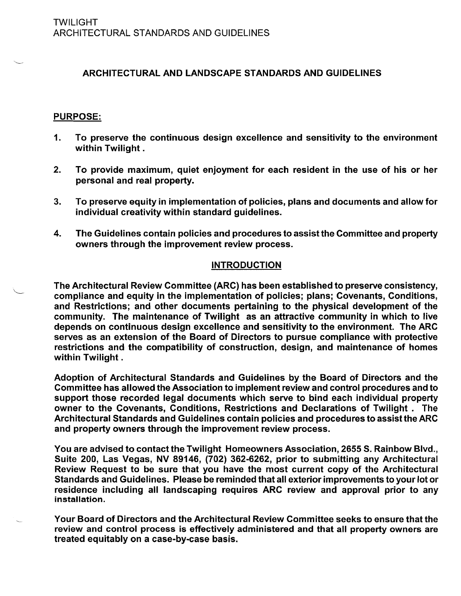## ARCHITECTURAL AND LANDSCAPE STANDARDS AND GUIDELINES

#### PURPOSE:

- 1. To preserve the continuous design excellence and sensitivity to the environment within Twilight.
- 2. To provide maximum, quiet enjoyment for each resident in the use of his or her personal and real property.
- 3. To preserve equity in implementation of policies, plans and documents and allow for individual creativity within standard guidelines.
- 4. The Guidelines contain policies and procedures to assist the Committee and property owners through the improvement review process.

#### INTRODUCTION

The Architectural Review Committee (ARC) has been established to preserve consistency, compliance and equity in the implementation of policies; plans; Covenants, Conditions, and Restrictions; and other documents pertaining to the physical development of the community. The maintenance of Twilight as an attractive community in which to live depends on continuous design excellence and sensitivity to the environment. The ARC serves as an extension of the Board of Directors to pursue compliance with protective restrictions and the compatibility of construction, design, and maintenance of homes within Twilight.

Adoption of Architectural Standards and Guidelines by the Board of Directors and the Committee has allowed the Association to implement review and control procedures and to support those recorded legal documents which serve to bind each individual property owner to the Covenants, Conditions, Restrictions and Declarations of Twilight. The Architectural Standards and Guidelines contain policies and procedures to assist the ARC and property owners through the improvement review process.

You are advised to contact the Twilight Homeowners Association, 2655 S. Rainbow Blvd., Suite 200, Las Vegas, NV 89146, (702) 362-6262, prior to submitting any Architectural Review Request to be sure that you have the most current copy of the Architectural Standards and Guidelines. Please be reminded that all exterior improvements to your lot or residence including all landscaping requires ARC review and approval prior to any installation.

Your Board of Directors and the Architectural Review Committee seeks to ensure that the review and control process is effectively administered and that all property owners are treated equitably on a case-by-case basis.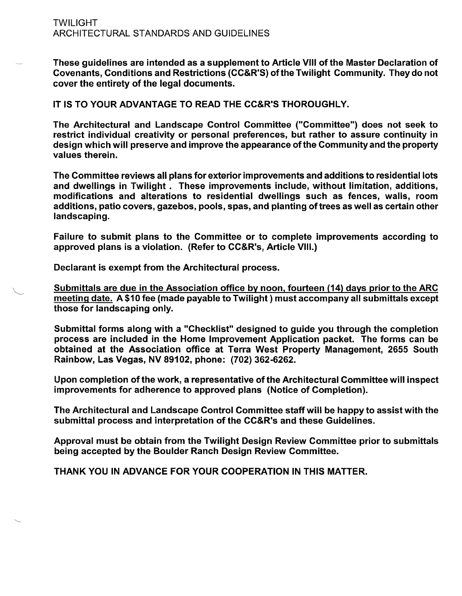#### TWILIGHT ARCHITECTURAL STANDARDS AND GUIDELINES

These guidelines are intended as a supplement to Article VIII of the Master Declaration of Covenants, Conditions and Restrictions (CC&R'S) ofthe Twilight Community. They do not cover the entirety of the legal documents.

IT IS TO YOUR ADVANTAGE TO READ THE CC&R'S THOROUGHLY.

The Architectural and Landscape Control Committee ("Committee") does not seek to restrict individual creativity or personal preferences, but rather to assure continuity in design which will preserve and improve the appearance ofthe Community and the property values therein.

The Committee reviews all plans for exterior improvements and additions to residential lots and dwellings in Twilight. These improvements include, without limitation, additions, modifications and alterations to residential dwellings such as fences, walls, room additions, patio covers, gazebos, pools, spas, and planting of trees as well as certain other landscaping.

Failure to submit plans to the Committee or to complete improvements according to approved plans is a violation. (Refer to CC&R's, Article VIII.)

Declarant is exempt from the Architectural process.

Submittals are due in the Association office by noon, fourteen (14) days prior to the ARC meeting date. A \$10 fee (made payable to Twilight) must accompany all submittals except those for landscaping only.

Submittal forms along with a "Checklist" designed to guide you through the completion process are included in the Home Improvement Application packet. The forms can be obtained at the Association office at Terra West Property Management, 2655 South Rainbow, Las Vegas, NV 89102, phone: (702) 362-6262.

Upon completion of the work, a representative of the Architectural Committee will inspect improvements for adherence to approved plans (Notice of Completion).

The Architectural and Landscape Control Committee staff will be happy to assist with the submittal process and interpretation of the CC&R's and these Guidelines.

Approval must be obtain from the Twilight Design Review Committee prior to submittals being accepted by the Boulder Ranch Design Review Committee.

THANK YOU IN ADVANCE FOR YOUR COOPERATION IN THIS MATTER.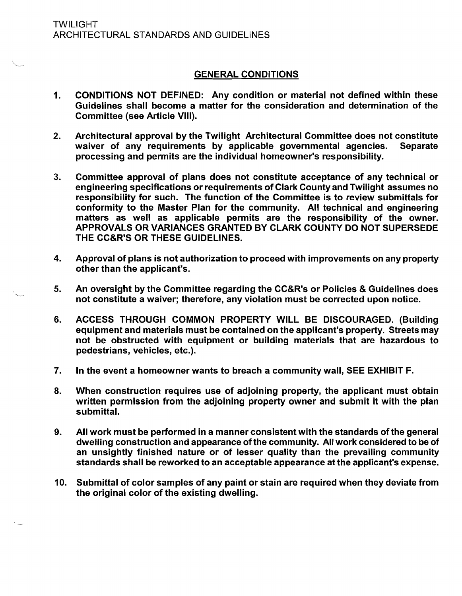### GENERAL CONDITIONS

- 1. CONDITIONS NOT DEFINED: Any condition or material not defined within these Guidelines shall become a matter for the consideration and determination of the Committee (see Article VIII).
- 2. Architectural approval by the Twilight Architectural Committee does not constitute waiver of any requirements by applicable governmental agencies. Separate processing and permits are the individual homeowner's responsibility.
- 3. Committee approval of plans does not constitute acceptance of any technical or engineering specifications or requirements of Clark County and Twilight assumes no responsibility for such. The function of the Committee is to review submittals for conformity to the Master Plan for the community. All technical and engineering matters as well as applicable permits are the responsibility of the owner. APPROVALS OR VARIANCES GRANTED BY CLARK COUNTY DO NOT SUPERSEDE THE CC&R'S OR THESE GUIDELINES.
- 4. Approval of plans is not authorization to proceed with improvements on any property other than the applicant's.
- 5. An oversight by the Committee regarding the CC&R's or Policies & Guidelines does not constitute a waiver; therefore, any violation must be corrected upon notice.
- 6. ACCESS THROUGH COMMON PROPERTY WILL BE DISCOURAGED. (Building equipment and materials must be contained on the applicant's property. Streets may not be obstructed with equipment or building materials that are hazardous to pedestrians, vehicles, etc.).
- 7. In the event a homeowner wants to breach a community wall, SEE EXHIBIT F.
- 8. When construction requires use of adjoining property, the applicant must obtain written permission from the adjoining property owner and submit it with the plan submittal.
- 9. All work must be performed in a manner consistent with the standards of the general dwelling construction and appearance ofthe community. All work considered to be of an unsightly finished nature or of lesser quality than the prevailing community standards shall be reworked to an acceptable appearance at the applicant's expense.
- 10. Submittal of color samples of any paint or stain are required when they deviate from the original color of the existing dwelling.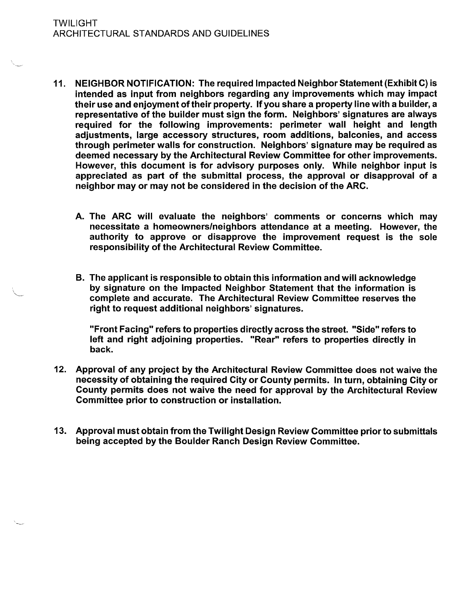- 11. NEIGHBOR NOTIFICATION: The required Impacted Neighbor Statement (Exhibit C) is intended as input from neighbors regarding any improvements which may impact their use and enjoyment of their property. If you share a property line with a builder, a representative of the builder must sign the form. Neighbors' signatures are always required for the following improvements: perimeter wall height and length adjustments, large accessory structures, room additions, balconies, and access through perimeter walls for construction. Neighbors' signature may be required as deemed necessary by the Architectural Review Committee for other improvements. However, this document is for advisory purposes only. While neighbor input is appreciated as part of the submittal process, the approval or disapproval of a neighbor may or may not be considered in the decision of the ARC.
	- A. The ARC will evaluate the neighbors' comments or concerns which may necessitate a homeowners/neighbors attendance at a meeting. However, the authority to approve or disapprove the improvement request is the sole responsibility of the Architectural Review Committee.
	- B. The applicant is responsible to obtain this information and will acknowledge by signature on the Impacted Neighbor Statement that the information is complete and accurate. The Architectural Review Committee reserves the right to request additional neighbors' signatures.

"Front Facing" refers to properties directly across the street. "Side" refers to left and right adjoining properties. "Rear" refers to properties directly in back.

- 12. Approval of any project by the Architectural Review Committee does not waive the necessity of obtaining the required City or County permits. In turn, obtaining City or County permits does not waive the need for approval by the Architectural Review Committee prior to construction or installation.
- 13. Approval must obtain from the Twilight Design Review Committee prior to submittals being accepted by the Boulder Ranch Design Review Committee.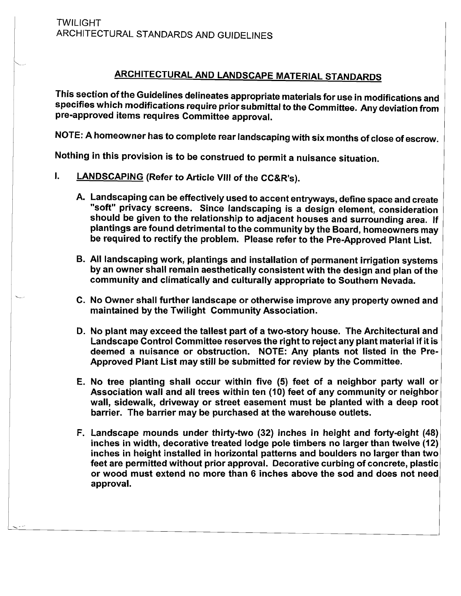## ARCHITECTURAL AND LANDSCAPE MATERIAL STANDARDS

This section ofthe Guidelines delineates appropriate materials for use in modifications and specifies which modifications require prior submittal to the Committee. Any deviation from pre-approved items requires Committee approval.

NOTE: A homeowner has to complete rear landscaping with six months of close of escrow.

Nothing in this provision is to be construed to permit a nuisance situation.

- I. LANDSCAPING (Refer to Article VIII of the CC&R's).
	- A. Landscaping can be effectively used to accent entryways, define space and create "soft" privacy screens. Since landscaping is a design element, consideration should be given to the relationship to adjacent houses and surrounding area. If plantings are found detrimental to the community by the Board, homeowners may be required to rectify the problem. Please refer to the Pre-Approved Plant List.
	- B. All landscaping work, plantings and installation of permanent irrigation systems by an owner shall remain aesthetically consistent with the design and plan of the community and climatically and culturally appropriate to Southern Nevada.
	- C. No Owner shall further landscape or otherwise improve any property owned and maintained by the Twilight Community Association.
	- D. No plant may exceed the tallest part of a two-story house. The Architectural and Landscape Control Committee reserves the right to reject any plant material if it is deemed a nuisance or obstruction. NOTE: Any plants not listed in the Pre-Approved Plant List may still be submitted for review by the Committee.
	- E. No tree planting shall occur within five (5) feet of a neighbor party wall or Association wall and all trees within ten (10) feet of any community or neighbor wall, sidewalk, driveway or street easement must be planted with a deep root barrier. The barrier may be purchased at the warehouse outlets.
	- F. Landscape mounds under thirty-two (32) inches in height and forty-eight (48) inches in width, decorative treated lodge pole timbers no larger than twelve (12) inches in height installed in horizontal patterns and boulders no larger than two feet are permitted without prior approval. Decorative curbing of concrete, plastic or wood must extend no more than 6 inches above the sod and does not need approval.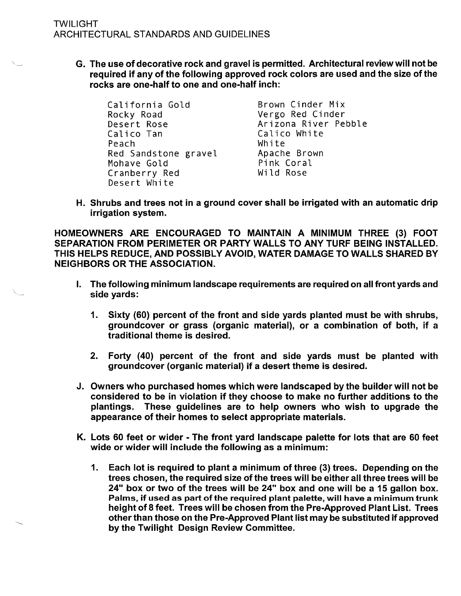G. The use of decorative rock and gravel is permitted. Architectural review will not be required if any of the following approved rock colors are used and the size of the rocks are one-half to one and one-half inch:

| California Gold      | Brown Cinder Mix     |
|----------------------|----------------------|
| Rocky Road           | Vergo Red Cinder     |
| Desert Rose          | Arizona River Pebble |
| Calico Tan           | Calico White         |
| Peach                | White                |
| Red Sandstone gravel | Apache Brown         |
| Mohave Gold          | Pink Coral           |
| Cranberry Red        | Wild Rose            |
| Desert White         |                      |

H. Shrubs and trees not in a ground cover shall be irrigated with an automatic drip irrigation system.

HOMEOWNERS ARE ENCOURAGED TO MAINTAIN A MINIMUM THREE (3) FOOT SEPARATION FROM PERIMETER OR PARTY WALLS TO ANY TURF BEING INSTALLED. THIS HELPS REDUCE, AND POSSIBLY AVOID, WATER DAMAGE TO WALLS SHARED BY NEIGHBORS OR THE ASSOCIATION.

- I. The following minimum landscape requirements are required on all front vards and side yards:
	- 1. Sixty (60) percent of the front and side yards planted must be with shrubs, groundcover or grass (organic material), or a combination of both, if a traditional theme is desired.
	- 2. Forty (40) percent of the front and side yards must be planted with groundcover (organic material) if a desert theme is desired.
- J. Owners who purchased homes which were landscaped by the builder will not be considered to be in violation if they choose to make no further additions to the plantings. These guidelines are to help owners who wish to upgrade the appearance of their homes to select appropriate materials.
- K. Lots 60 feet or wider The front yard landscape palette for lots that are 60 feet wide or wider will include the following as a minimum:
	- 1. Each lot is required to plant a minimum of three (3) trees. Depending on the trees chosen, the required size of the trees will be either all three trees will be 24" box or two of the trees will be 24" box and one will be a 15 gallon box. Palms, if used as part of the required plant palette, will have a minimum trunk height of 8 feet. Trees will be chosen from the Pre-Approved Plant List. Trees other than those on the Pre-Approved Plant list may be substituted ifapproved by the Twilight Design Review Committee.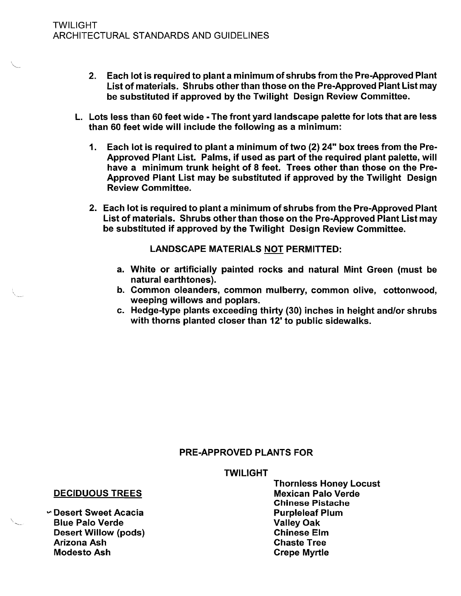- 2. Each lot is required to plant a minimum of shrubs from the Pre-Approved Plant List of materials. Shrubs other than those on the Pre-Approved Plant List may be substituted if approved by the Twilight Design Review Committee.
- L. Lots less than 60 feet wide The front yard landscape palette for lots that are less than 60 feet wide will include the following as a minimum:
	- 1. Each lot is required to plant a minimum of two (2) 24" box trees from the Pre-Approved Plant List. Palms, if used as part of the required plant palette, will have a minimum trunk height of 8 feet. Trees other than those on the Pre-Approved Plant List may be substituted if approved by the Twilight Design Review Committee.
	- 2. Each lot is required to plant a minimum of shrubs from the Pre-Approved Plant List of materials. Shrubs other than those on the Pre-Approved Plant List may be substituted if approved by the Twilight Design Review Committee.

LANDSCAPE MATERIALS NOT PERMITTED:

- a. White or artificially painted rocks and natural Mint Green (must be natural earthtones).
- b. Common oleanders, common mulberry, common olive, cottonwood, weeping willows and poplars.
- c. Hedge-type plants exceeding thirty (30) inches in height and/or shrubs with thorns planted closer than 12' to public sidewalks.

## PRE-APPROVED PLANTS FOR

TWILIGHT

Thornless Honey Locust Chinese Pistache

## **DECIDUOUS TREES**

v. Desert Sweet Acacia Purpleleaf Plum Blue Palo Verde Valley Oak Desert Willow (pods) Chinese Elm Arizona Ash Modesto Ash **Crepe Myrtle**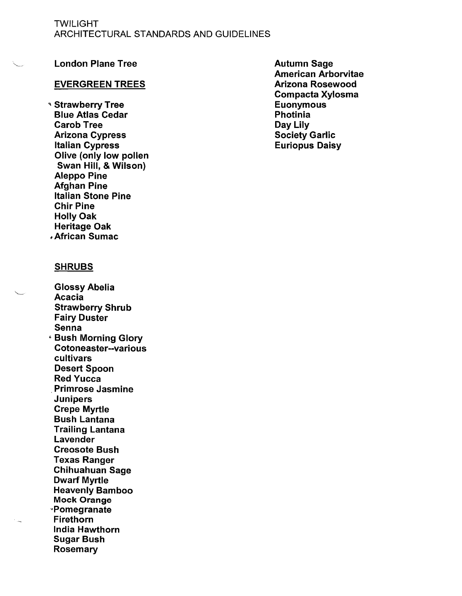#### TWILIGHT ARCHITECTURAL STANDARDS AND GUIDELINES

#### London Plane Tree

#### EVERGREEN TREES

'\ Strawberry Tree Blue Atlas Cedar Carob Tree Arizona Cypress Italian Cypress Olive (only low pollen Swan Hill, & Wilson) Aleppo Pine **Afghan Pine** Italian Stone Pine Chir Pine Holly Oak Heritage Oak , African Sumac

#### SHRUBS

Glossy Abelia Acacia Strawberry Shrub Fairy Duster Senna • Bush Morning Glory Cotoneaster--various cultivars Desert Spoon Red Yucca ,Primrose Jasmine Junipers Crepe Myrtle Bush Lantana Trailing Lantana Lavender Creosote Bush Texas Ranger Chihuahuan Sage Dwarf Myrtle Heavenly Bamboo Mock Orange "Pomegranate Firethorn India Hawthorn Sugar Bush Rosemary

Autumn Sage American Arborvitae Arizona Rosewood Compacta Xylosma Euonymous Photinia Day Lily Society Garlic Euriopus Daisy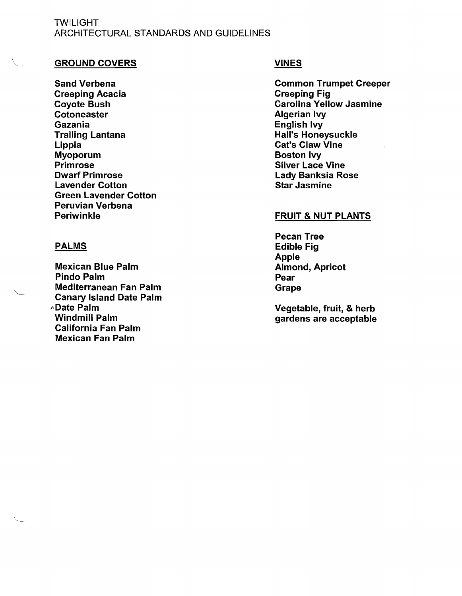#### TWILIGHT ARCHITECTURAL STANDARDS AND GUIDELINES

#### GROUND COVERS

Sand Verbena Creeping Acacia Coyote Bush **Cotoneaster** Gazania Trailing Lantana **Lippia** Myoporum Primrose Dwarf Primrose Lavender Cotton Green Lavender Cotton Peruvian Verbena Periwinkle

#### PALMS

Mexican Blue Palm Pindo Palm Mediterranean Fan Palm Canary Island Date Palm "Date Palm Windmill Palm California Fan Palm Mexican Fan Palm

#### VINES

Common Trumpet Creeper Creeping Fig Carolina Yellow Jasmine Algerian Ivy English Ivy Hall's Honeysuckle Cat's Claw Vine Boston Ivy Silver Lace Vine Lady Banksia Rose Star Jasmine

#### FRUIT & NUT PLANTS

Pecan Tree Edible Fig Apple Almond, Apricot Pear Grape

Vegetable, fruit, & herb gardens are acceptable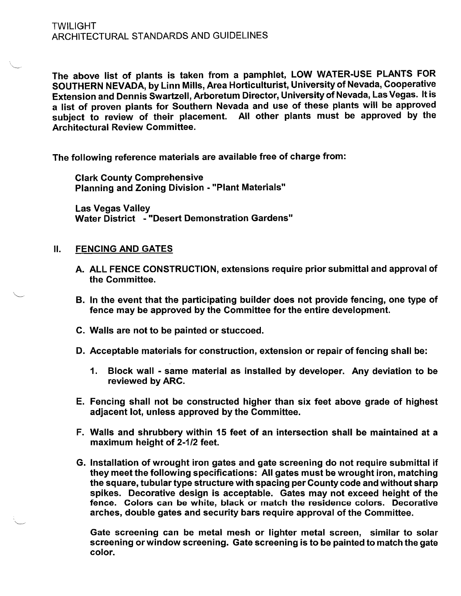The above list of plants is taken from a pamphlet, LOW WATER-USE PLANTS FOR SOUTHERN NEVADA, by Linn Mills, Area Horticulturist, University of Nevada, Cooperative Extension and Dennis Swartzell, Arboretum Director, University of Nevada, Las Vegas. It is a list of proven plants for Southern Nevada and use of these plants will be approved subject to review of their placement. All other plants must be approved by the Architectural Review Committee.

The following reference materials are available free of charge from:

Clark County Comprehensive Planning and Zoning Division - "Plant Materials"

Las Vegas Valley Water District - "Desert Demonstration Gardens"

#### II. FENCING AND GATES

- A. ALL FENCE CONSTRUCTION, extensions require prior submittal and approval of the Committee.
- B. In the event that the participating builder does not provide fencing, one type of fence may be approved by the Committee for the entire development.
- C. Walls are not to be painted or stuccoed.
- D. Acceptable materials for construction, extension or repair of fencing shall be:
	- 1. Block wall same material as installed by developer. Any deviation to be reviewed by ARC.
- E. Fencing shall not be constructed higher than six feet above grade of highest adjacent lot, unless approved by the Committee.
- F. Walls and shrubbery within 15 feet of an intersection shall be maintained at a maximum height of 2-1/2 feet.
- G. Installation of wrought iron gates and gate screening do not require submittal if they meet the following specifications: All gates must be wrought iron, matching the square, tubular type structure with spacing per County code and without sharp spikes. Decorative design is acceptable. Gates may not exceed height of the fence. Colors can be white, black or match the residence colors. Decorative arches, double gates and security bars require approval of the Committee.

Gate screening can be metal mesh or lighter metal screen, similar to solar screening orwindow screening. Gate screening is to be painted to match the gate color.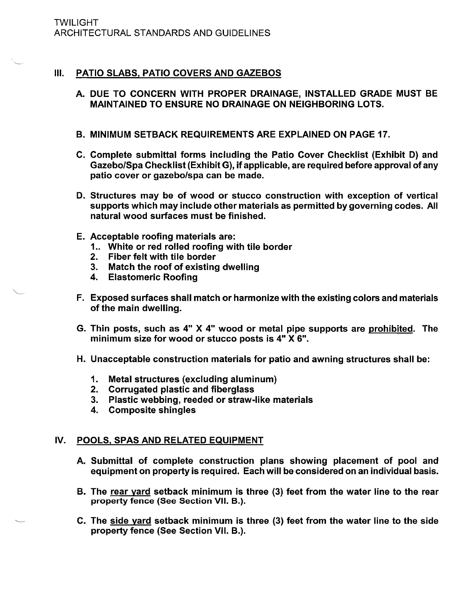## III. PATIO SLABS, PATIO COVERS AND GAZEBOS

- A. DUE TO CONCERN WITH PROPER DRAINAGE, INSTALLED GRADE MUST BE MAINTAINED TO ENSURE NO DRAINAGE ON NEIGHBORING LOTS.
- B. MINIMUM SETBACK REQUIREMENTS ARE EXPLAINED ON PAGE 17.
- C. Complete submittal forms including the Patio Cover Checklist (Exhibit D) and Gazebo/Spa Checklist (Exhibit G), if applicable, are required before approval of any patio cover or gazebo/spa can be made.
- D. Structures may be of wood or stucco construction with exception of vertical supports which may include other materials as permitted by governing codes. All natural wood surfaces must be finished.
- E. Acceptable roofing materials are:
	- 1.. White or red rolled roofing with tile border
	- 2. Fiber felt with tile border
	- 3. Match the roof of existing dwelling
	- 4. Elastomeric Roofing
- F. Exposed surfaces shall match or harmonize with the existing colors and materials of the main dwelling.
- G. Thin posts, such as 4" X 4" wood or metal pipe supports are prohibited. The minimum size for wood or stucco posts is 4" X 6".
- H. Unacceptable construction materials for patio and awning structures shall be:
	- 1. Metal structures (excluding aluminum)
	- 2. Corrugated plastic and fiberglass
	- 3. Plastic webbing, reeded or straw-like materials
	- 4. Composite shingles

## IV. POOLS, SPAS AND RELATED EQUIPMENT

- A. Submittal of complete construction plans showing placement of pool and equipment on property is required. Each will be considered on an individual basis.
- B. The rear yard setback minimum is three (3) feet from the water line to the rear property fence (See Section VII. B.).
- C. The side yard setback minimum is three (3) feet from the water line to the side property fence (See Section VII. B.).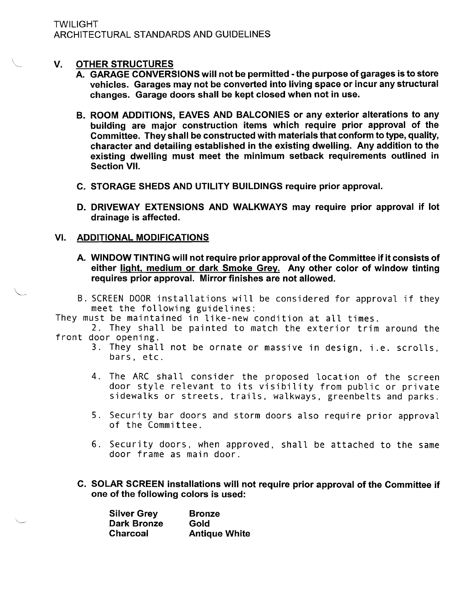#### V. OTHER STRUCTURES

- A. GARAGE CONVERSIONS will not be permitted· the purpose of garages is to store vehicles. Garages may not be converted into living space or incur any structural changes. Garage doors shall be kept closed when not in use.
- B. ROOM ADDITIONS, EAVES AND BALCONIES or any exterior alterations to any building are major construction items which require prior approval of the Committee. They shall be constructed with materials that conform to type, quality, character and detailing established in the existing dwelling. Any addition to the existing dwelling must meet the minimum setback requirements outlined in Section VII.
- C. STORAGE SHEDS AND UTILITY BUILDINGS require prior approval.
- D. DRIVEWAY EXTENSIONS AND WALKWAYS may require prior approval if lot drainage is affected.

#### VI. ADDITIONAL MODIFICATIONS

- A. WINDOW TINTING will not require prior approval of the Committee if it consists of either light, medium or dark Smoke Grey. Any other color of window tinting requires prior approval. Mirror finishes are not allowed.
- B. SCREEN DOOR installations will be considered for approval if they meet the following guidelines:
- They must be maintained in like-new condition at all times.
- 2. They shall be painted to match the exterior trim around the front door opening.
	- 3. They shall not be ornate or massive in design, i.e. scrolls, bars, etc.
	- 4. The ARC shall consider the proposed location of the screen door style relevant to its visibility from public or private sidewalks or streets, trails, walkways, greenbelts and parks.
	- 5. Security bar doors and storm doors also require prior approval of the Committee.
	- 6. Security doors, when approved, shall be attached to the same door frame as main door.
	- C. SOLAR SCREEN installations will not require prior approval of the Committee if one of the following colors is used:

| <b>Silver Grey</b> | <b>Bronze</b>        |
|--------------------|----------------------|
| <b>Dark Bronze</b> | Gold                 |
| <b>Charcoal</b>    | <b>Antique White</b> |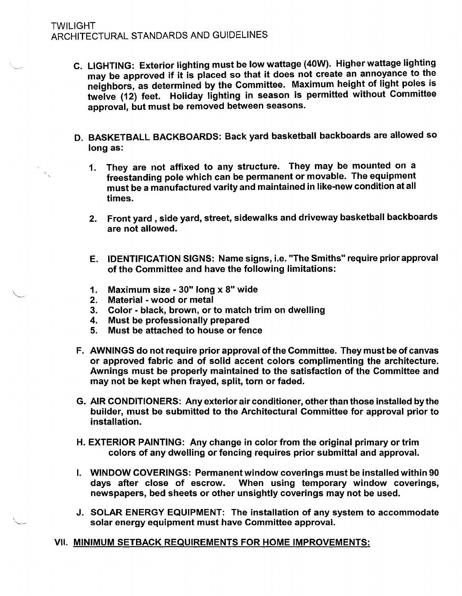- C. LIGHTING: Exterior lighting must be low wattage (40W). Higher wattage lighting may be approved if it is placed so that it does not create an annoyance to the neighbors, as determined by the Committee. Maximum height of light poles is twelve (12) feet. Holiday lighting in season is permitted without Committee approval, but must be removed between seasons.
- D. BASKETBALL BACKBOARDS: Back yard basketball backboards are allowed so long as:
	- 1. They are not affixed to any structure. They may be mounted on a freestanding pole which can be permanent or movable. The equipment must be a manufactured varity and maintained in like-new condition at all times.
	- 2. Front yard, side yard, street, sidewalks and driveway basketball backboards are not allowed.
	- E. IDENTIFICATION SIGNS: Name signs, i.e. "The Smiths" require prior approval of the Committee and have the following limitations:
	- 1. Maximum size 30" long x 8" wide
	- 2. Material wood or metal
	- 3. Color black, brown, or to match trim on dwelling
	- 4. Must be professionally prepared
	- 5. Must be attached to house or fence
- F. AWNINGS do not require prior approval of the Committee. They must be of canvas or approved fabric and of solid accent colors complimenting the architecture. Awnings must be properly maintained to the satisfaction of the Committee and may not be kept when frayed, split, torn or faded.
- G. AIR CONDITIONERS: Any exterior air conditioner, other than those installed by the builder, must be submitted to the Architectural Committee for approval prior to installation.
- H. EXTERIOR PAINTING: Any change in color from the original primary or trim colors of any dwelling or fencing requires prior submittal and approval.
- I. WINDOW COVERINGS: Permanent window coverings must be installed within 90 days after close of escrow. When using temporary window coverings, newspapers, bed sheets or other unsightly coverings may not be used.
- J. SOLAR ENERGY EQUIPMENT: The installation of any system to accommodate solar energy equipment must have Committee approval.
- VII. MINIMUM SETBACK REQUIREMENTS FOR HOME IMPROVEMENTS: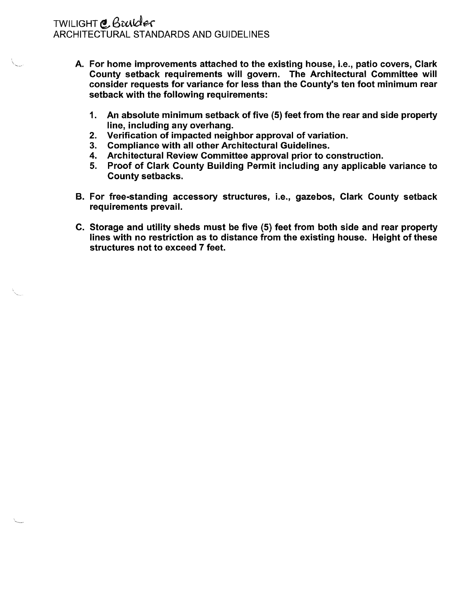## TWILIGHT @ Brui*der* ARCHITECTURAL STANDARDS AND GUIDELINES

- A. For home improvements attached to the existing house, i.e., patio covers, Clark County setback requirements will govern. The Architectural Committee will consider requests for variance for less than the County's ten foot minimum rear setback with the following requirements:
	- 1. An absolute minimum setback of five (5) feet from the rear and side property line, including any overhang.
	- 2. Verification of impacted neighbor approval of variation.
	- 3. Compliance with all other Architectural Guidelines.
	- 4. Architectural Review Committee approval prior to construction.
	- 5. Proof of Clark County Building Permit including any applicable variance to County setbacks.
- B. For free-standing accessory structures, i.e., gazebos, Clark County setback requirements prevail.
- C. Storage and utility sheds must be five (5) feet from both side and rear property lines with no restriction as to distance from the existing house. Height of these structures not to exceed 7 feet.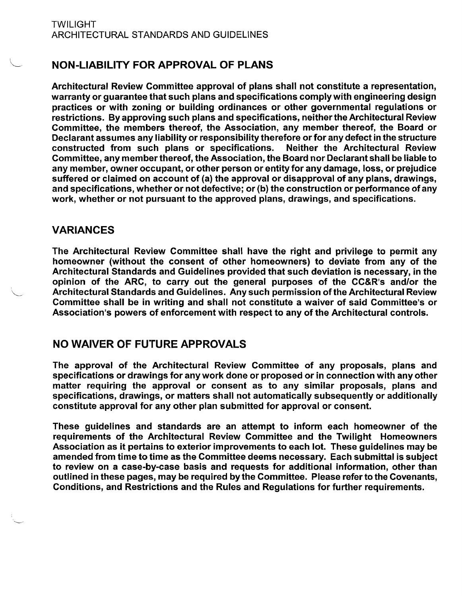## NON-LIABILITY FOR APPROVAL OF PLANS

Architectural Review Committee approval of plans shall not constitute a representation, warranty or guarantee that such plans and specifications comply with engineering design practices or with zoning or building ordinances or other governmental regulations or restrictions. By approving such plans and specifications, neither the Architectural Review Committee, the members thereof, the Association, any member thereof, the Board or Declarant assumes any liability or responsibility therefore or for any defect in the structure constructed 'from such plans or specifications. Neither the Architectural Review Committee, any member thereof, the Association, the Board nor Declarant shall be liable to any member, owner occupant, or other person or entity for any damage, loss, or prejudice suffered or claimed on account of (a) the approval or disapproval of any plans, drawings, and specifications, whether or not defective; or (b) the construction or performance of any work, whether or not pursuant to the approved plans, drawings, and specifications.

## VARIANCES

The Architectural Review Committee shall have the right and privilege to permit any homeowner (without the consent of other homeowners) to deviate from any of the Architectural Standards and Guidelines provided that such deviation is necessary, in the opinion of the ARC, to carry out the general purposes of the CC&R's and/or the Architectural Standards and Guidelines. Any such permission of the Architectural Review Committee shall be in writing and shall not constitute a waiver of said Committee's or Association's powers of enforcement with respect to any of the Architectural controls.

## NO WAIVER OF FUTURE APPROVALS

The approval of the Architectural Review Committee of any proposals, plans and specifications or drawings for any work done or proposed or in connection with any other matter requiring the approval or consent as to any similar proposals, plans and specifications, drawings, or matters shall not automatically subsequently or additionally constitute approval for any other plan submitted for approval or consent.

These guidelines and standards are an attempt to inform each homeowner of the requirements of the Architectural Review Committee and the Twilight Homeowners Association as it pertains to exterior improvements to each lot. These guidelines may be amended from time to time as the Committee deems necessary. Each submittal is subject to review on a case-by-case basis and requests for additional information, other than outlined in these pages, may be required by the Committee. Please refer to the Covenants, Conditions, and Restrictions and the Rules and Regulations for further requirements.